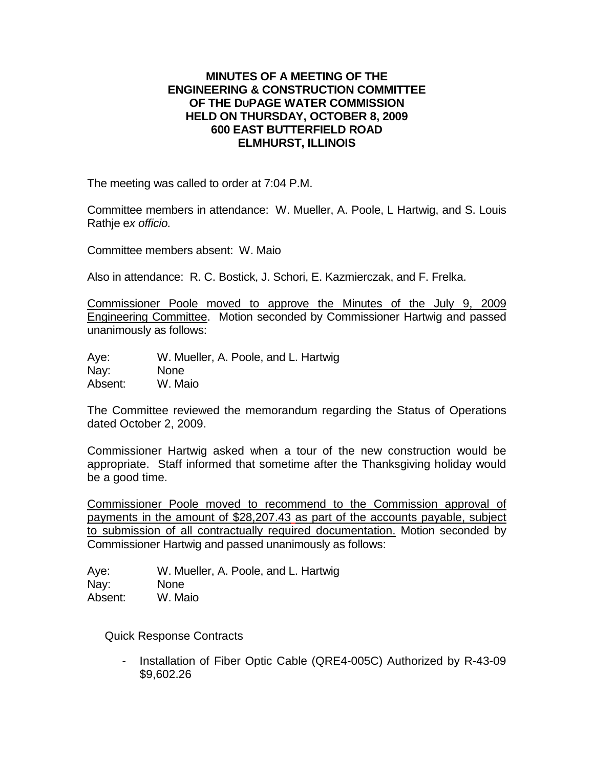## **MINUTES OF A MEETING OF THE ENGINEERING & CONSTRUCTION COMMITTEE OF THE DUPAGE WATER COMMISSION HELD ON THURSDAY, OCTOBER 8, 2009 600 EAST BUTTERFIELD ROAD ELMHURST, ILLINOIS**

The meeting was called to order at 7:04 P.M.

Committee members in attendance: W. Mueller, A. Poole, L Hartwig, and S. Louis Rathje e*x officio.*

Committee members absent: W. Maio

Also in attendance: R. C. Bostick, J. Schori, E. Kazmierczak, and F. Frelka.

Commissioner Poole moved to approve the Minutes of the July 9, 2009 Engineering Committee. Motion seconded by Commissioner Hartwig and passed unanimously as follows:

Aye: W. Mueller, A. Poole, and L. Hartwig Nay: None Absent: W. Maio

The Committee reviewed the memorandum regarding the Status of Operations dated October 2, 2009.

Commissioner Hartwig asked when a tour of the new construction would be appropriate. Staff informed that sometime after the Thanksgiving holiday would be a good time.

Commissioner Poole moved to recommend to the Commission approval of payments in the amount of \$28,207.43 as part of the accounts payable, subject to submission of all contractually required documentation. Motion seconded by Commissioner Hartwig and passed unanimously as follows:

Aye: W. Mueller, A. Poole, and L. Hartwig Nay: None Absent: W. Maio

Quick Response Contracts

- Installation of Fiber Optic Cable (QRE4-005C) Authorized by R-43-09 \$9,602.26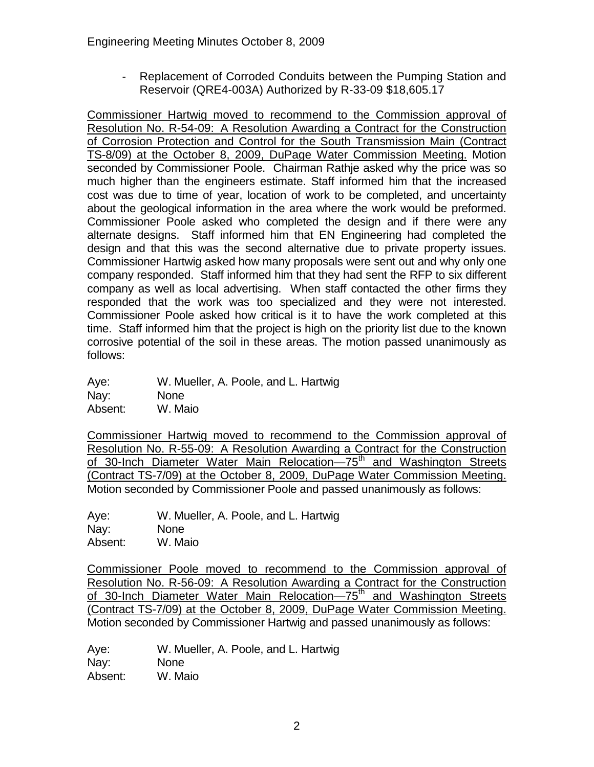- Replacement of Corroded Conduits between the Pumping Station and Reservoir (QRE4-003A) Authorized by R-33-09 \$18,605.17

Commissioner Hartwig moved to recommend to the Commission approval of Resolution No. R-54-09: A Resolution Awarding a Contract for the Construction of Corrosion Protection and Control for the South Transmission Main (Contract TS-8/09) at the October 8, 2009, DuPage Water Commission Meeting. Motion seconded by Commissioner Poole. Chairman Rathje asked why the price was so much higher than the engineers estimate. Staff informed him that the increased cost was due to time of year, location of work to be completed, and uncertainty about the geological information in the area where the work would be preformed. Commissioner Poole asked who completed the design and if there were any alternate designs. Staff informed him that EN Engineering had completed the design and that this was the second alternative due to private property issues. Commissioner Hartwig asked how many proposals were sent out and why only one company responded. Staff informed him that they had sent the RFP to six different company as well as local advertising. When staff contacted the other firms they responded that the work was too specialized and they were not interested. Commissioner Poole asked how critical is it to have the work completed at this time. Staff informed him that the project is high on the priority list due to the known corrosive potential of the soil in these areas. The motion passed unanimously as follows:

Aye: W. Mueller, A. Poole, and L. Hartwig Nay: None Absent: W. Maio

Commissioner Hartwig moved to recommend to the Commission approval of Resolution No. R-55-09: A Resolution Awarding a Contract for the Construction of 30-Inch Diameter Water Main Relocation—75<sup>th</sup> and Washington Streets (Contract TS-7/09) at the October 8, 2009, DuPage Water Commission Meeting. Motion seconded by Commissioner Poole and passed unanimously as follows:

Aye: W. Mueller, A. Poole, and L. Hartwig Nay: None Absent: W. Maio

Commissioner Poole moved to recommend to the Commission approval of Resolution No. R-56-09: A Resolution Awarding a Contract for the Construction of 30-Inch Diameter Water Main Relocation—75<sup>th</sup> and Washington Streets (Contract TS-7/09) at the October 8, 2009, DuPage Water Commission Meeting. Motion seconded by Commissioner Hartwig and passed unanimously as follows:

Aye: W. Mueller, A. Poole, and L. Hartwig Nay: None Absent: W. Maio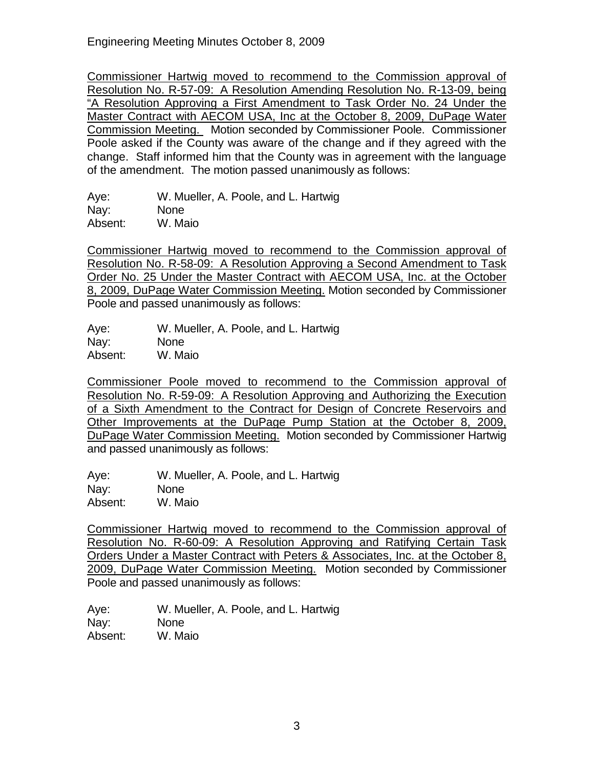Engineering Meeting Minutes October 8, 2009

Commissioner Hartwig moved to recommend to the Commission approval of Resolution No. R-57-09: A Resolution Amending Resolution No. R-13-09, being "A Resolution Approving a First Amendment to Task Order No. 24 Under the Master Contract with AECOM USA, Inc at the October 8, 2009, DuPage Water Commission Meeting. Motion seconded by Commissioner Poole. Commissioner Poole asked if the County was aware of the change and if they agreed with the change. Staff informed him that the County was in agreement with the language of the amendment. The motion passed unanimously as follows:

| Aye:    | W. Mueller, A. Poole, and L. Hartwig |
|---------|--------------------------------------|
| Nay:    | <b>None</b>                          |
| Absent: | W. Maio                              |

Commissioner Hartwig moved to recommend to the Commission approval of Resolution No. R-58-09: A Resolution Approving a Second Amendment to Task Order No. 25 Under the Master Contract with AECOM USA, Inc. at the October 8, 2009, DuPage Water Commission Meeting. Motion seconded by Commissioner Poole and passed unanimously as follows:

| Aye:    | W. Mueller, A. Poole, and L. Hartwig |
|---------|--------------------------------------|
| Nay:    | <b>None</b>                          |
| Absent: | W. Maio                              |

Commissioner Poole moved to recommend to the Commission approval of Resolution No. R-59-09: A Resolution Approving and Authorizing the Execution of a Sixth Amendment to the Contract for Design of Concrete Reservoirs and Other Improvements at the DuPage Pump Station at the October 8, 2009, DuPage Water Commission Meeting. Motion seconded by Commissioner Hartwig and passed unanimously as follows:

| Aye:    | W. Mueller, A. Poole, and L. Hartwig |
|---------|--------------------------------------|
| Nay:    | None                                 |
| Absent: | W. Maio                              |

Commissioner Hartwig moved to recommend to the Commission approval of Resolution No. R-60-09: A Resolution Approving and Ratifying Certain Task Orders Under a Master Contract with Peters & Associates, Inc. at the October 8, 2009, DuPage Water Commission Meeting. Motion seconded by Commissioner Poole and passed unanimously as follows:

Aye: W. Mueller, A. Poole, and L. Hartwig Nay: None Absent: W. Maio